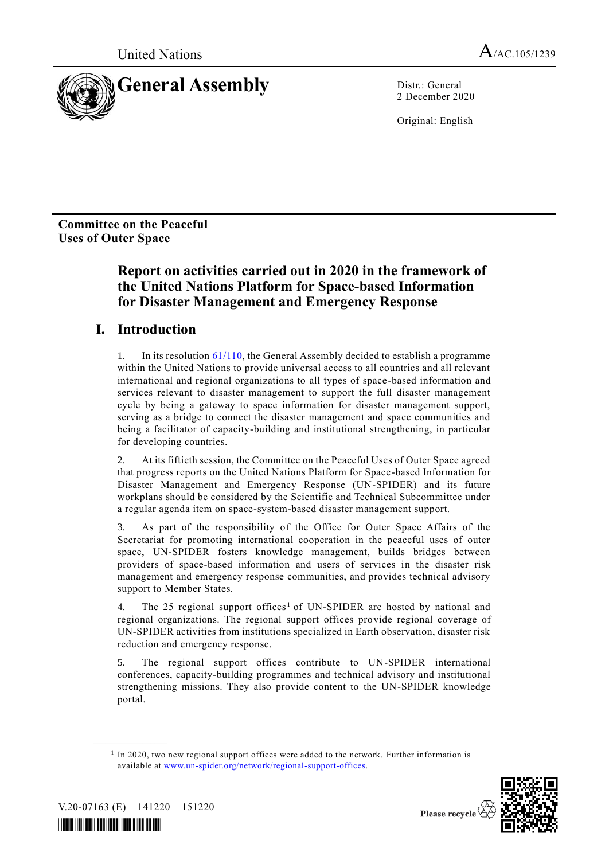

2 December 2020

Original: English

**Committee on the Peaceful Uses of Outer Space**

# **Report on activities carried out in 2020 in the framework of the United Nations Platform for Space-based Information for Disaster Management and Emergency Response**

# **I. Introduction**

1. In its resolutio[n 61/110,](http://undocs.org/A/RES/61/110) the General Assembly decided to establish a programme within the United Nations to provide universal access to all countries and all relevant international and regional organizations to all types of space-based information and services relevant to disaster management to support the full disaster management cycle by being a gateway to space information for disaster management support, serving as a bridge to connect the disaster management and space communities and being a facilitator of capacity-building and institutional strengthening, in particular for developing countries.

2. At its fiftieth session, the Committee on the Peaceful Uses of Outer Space agreed that progress reports on the United Nations Platform for Space-based Information for Disaster Management and Emergency Response (UN-SPIDER) and its future workplans should be considered by the Scientific and Technical Subcommittee under a regular agenda item on space-system-based disaster management support.

3. As part of the responsibility of the Office for Outer Space Affairs of the Secretariat for promoting international cooperation in the peaceful uses of outer space, UN-SPIDER fosters knowledge management, builds bridges between providers of space-based information and users of services in the disaster risk management and emergency response communities, and provides technical advisory support to Member States.

4. The 25 regional support offices<sup>1</sup> of UN-SPIDER are hosted by national and regional organizations. The regional support offices provide regional coverage of UN-SPIDER activities from institutions specialized in Earth observation, disaster risk reduction and emergency response.

5. The regional support offices contribute to UN-SPIDER international conferences, capacity-building programmes and technical advisory and institutional strengthening missions. They also provide content to the UN-SPIDER knowledge portal.

<sup>&</sup>lt;sup>1</sup> In 2020, two new regional support offices were added to the network. Further information is available at [www.un-spider.org/network/regional-support-offices.](http://www.un-spider.org/network/regional-support-offices)



V.20-07163 (E) 141220 151220

**\_\_\_\_\_\_\_\_\_\_\_\_\_\_\_\_\_\_**

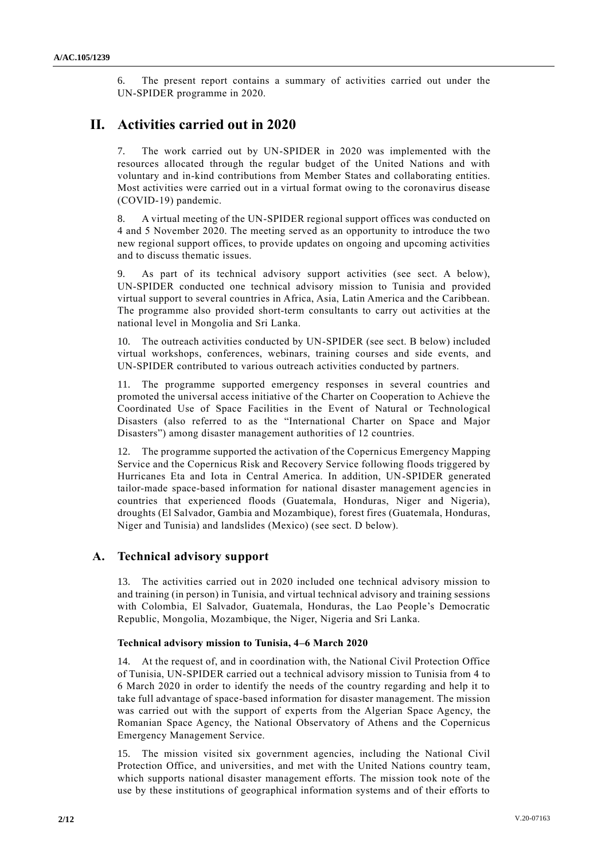6. The present report contains a summary of activities carried out under the UN-SPIDER programme in 2020.

# **II. Activities carried out in 2020**

7. The work carried out by UN-SPIDER in 2020 was implemented with the resources allocated through the regular budget of the United Nations and with voluntary and in-kind contributions from Member States and collaborating entities. Most activities were carried out in a virtual format owing to the coronavirus disease (COVID-19) pandemic.

8. A virtual meeting of the UN-SPIDER regional support offices was conducted on 4 and 5 November 2020. The meeting served as an opportunity to introduce the two new regional support offices, to provide updates on ongoing and upcoming activities and to discuss thematic issues.

As part of its technical advisory support activities (see sect. A below), UN-SPIDER conducted one technical advisory mission to Tunisia and provided virtual support to several countries in Africa, Asia, Latin America and the Caribbean. The programme also provided short-term consultants to carry out activities at the national level in Mongolia and Sri Lanka.

10. The outreach activities conducted by UN-SPIDER (see sect. B below) included virtual workshops, conferences, webinars, training courses and side events, and UN-SPIDER contributed to various outreach activities conducted by partners.

11. The programme supported emergency responses in several countries and promoted the universal access initiative of the Charter on Cooperation to Achieve the Coordinated Use of Space Facilities in the Event of Natural or Technological Disasters (also referred to as the "International Charter on Space and Major Disasters") among disaster management authorities of 12 countries.

12. The programme supported the activation of the Copernicus Emergency Mapping Service and the Copernicus Risk and Recovery Service following floods triggered by Hurricanes Eta and Iota in Central America. In addition, UN-SPIDER generated tailor-made space-based information for national disaster management agencies in countries that experienced floods (Guatemala, Honduras, Niger and Nigeria), droughts (El Salvador, Gambia and Mozambique), forest fires (Guatemala, Honduras, Niger and Tunisia) and landslides (Mexico) (see sect. D below).

# **A. Technical advisory support**

13. The activities carried out in 2020 included one technical advisory mission to and training (in person) in Tunisia, and virtual technical advisory and training sessions with Colombia, El Salvador, Guatemala, Honduras, the Lao People's Democratic Republic, Mongolia, Mozambique, the Niger, Nigeria and Sri Lanka.

# **Technical advisory mission to Tunisia, 4–6 March 2020**

14. At the request of, and in coordination with, the National Civil Protection Office of Tunisia, UN-SPIDER carried out a technical advisory mission to Tunisia from 4 to 6 March 2020 in order to identify the needs of the country regarding and help it to take full advantage of space-based information for disaster management. The mission was carried out with the support of experts from the Algerian Space Agency, the Romanian Space Agency, the National Observatory of Athens and the Copernicus Emergency Management Service.

15. The mission visited six government agencies, including the National Civil Protection Office, and universities, and met with the United Nations country team, which supports national disaster management efforts. The mission took note of the use by these institutions of geographical information systems and of their efforts to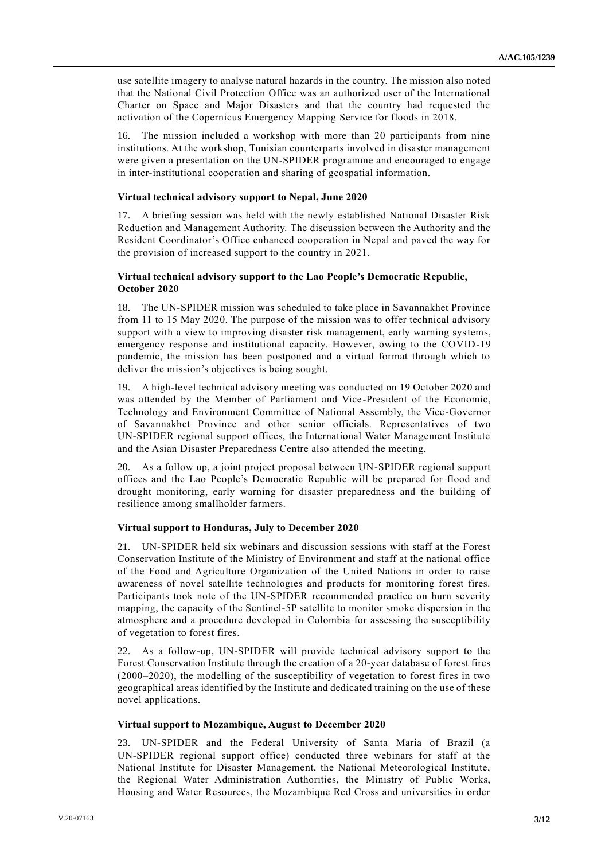use satellite imagery to analyse natural hazards in the country. The mission also noted that the National Civil Protection Office was an authorized user of the International Charter on Space and Major Disasters and that the country had requested the activation of the Copernicus Emergency Mapping Service for floods in 2018.

16. The mission included a workshop with more than 20 participants from nine institutions. At the workshop, Tunisian counterparts involved in disaster management were given a presentation on the UN-SPIDER programme and encouraged to engage in inter-institutional cooperation and sharing of geospatial information.

#### **Virtual technical advisory support to Nepal, June 2020**

17. A briefing session was held with the newly established National Disaster Risk Reduction and Management Authority. The discussion between the Authority and the Resident Coordinator's Office enhanced cooperation in Nepal and paved the way for the provision of increased support to the country in 2021.

#### **Virtual technical advisory support to the Lao People's Democratic Republic, October 2020**

18. The UN-SPIDER mission was scheduled to take place in Savannakhet Province from 11 to 15 May 2020. The purpose of the mission was to offer technical advisory support with a view to improving disaster risk management, early warning systems, emergency response and institutional capacity. However, owing to the COVID-19 pandemic, the mission has been postponed and a virtual format through which to deliver the mission's objectives is being sought.

19. A high-level technical advisory meeting was conducted on 19 October 2020 and was attended by the Member of Parliament and Vice-President of the Economic, Technology and Environment Committee of National Assembly, the Vice-Governor of Savannakhet Province and other senior officials. Representatives of two UN-SPIDER regional support offices, the International Water Management Institute and the Asian Disaster Preparedness Centre also attended the meeting.

20. As a follow up, a joint project proposal between UN-SPIDER regional support offices and the Lao People's Democratic Republic will be prepared for flood and drought monitoring, early warning for disaster preparedness and the building of resilience among smallholder farmers.

### **Virtual support to Honduras, July to December 2020**

21. UN-SPIDER held six webinars and discussion sessions with staff at the Forest Conservation Institute of the Ministry of Environment and staff at the national office of the Food and Agriculture Organization of the United Nations in order to raise awareness of novel satellite technologies and products for monitoring forest fires. Participants took note of the UN-SPIDER recommended practice on burn severity mapping, the capacity of the Sentinel-5P satellite to monitor smoke dispersion in the atmosphere and a procedure developed in Colombia for assessing the susceptibility of vegetation to forest fires.

22. As a follow-up, UN-SPIDER will provide technical advisory support to the Forest Conservation Institute through the creation of a 20-year database of forest fires (2000–2020), the modelling of the susceptibility of vegetation to forest fires in two geographical areas identified by the Institute and dedicated training on the use of these novel applications.

#### **Virtual support to Mozambique, August to December 2020**

23. UN-SPIDER and the Federal University of Santa Maria of Brazil (a UN-SPIDER regional support office) conducted three webinars for staff at the National Institute for Disaster Management, the National Meteorological Institute, the Regional Water Administration Authorities, the Ministry of Public Works, Housing and Water Resources, the Mozambique Red Cross and universities in order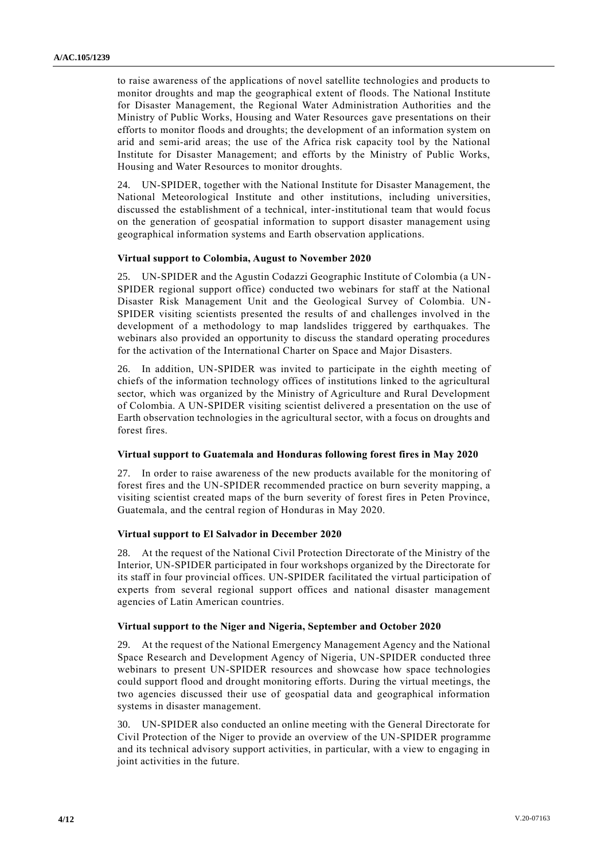to raise awareness of the applications of novel satellite technologies and products to monitor droughts and map the geographical extent of floods. The National Institute for Disaster Management, the Regional Water Administration Authorities and the Ministry of Public Works, Housing and Water Resources gave presentations on their efforts to monitor floods and droughts; the development of an information system on arid and semi-arid areas; the use of the Africa risk capacity tool by the National Institute for Disaster Management; and efforts by the Ministry of Public Works, Housing and Water Resources to monitor droughts.

24. UN-SPIDER, together with the National Institute for Disaster Management, the National Meteorological Institute and other institutions, including universities, discussed the establishment of a technical, inter-institutional team that would focus on the generation of geospatial information to support disaster management using geographical information systems and Earth observation applications.

#### **Virtual support to Colombia, August to November 2020**

25. UN-SPIDER and the Agustin Codazzi Geographic Institute of Colombia (a UN-SPIDER regional support office) conducted two webinars for staff at the National Disaster Risk Management Unit and the Geological Survey of Colombia. UN-SPIDER visiting scientists presented the results of and challenges involved in the development of a methodology to map landslides triggered by earthquakes. The webinars also provided an opportunity to discuss the standard operating procedures for the activation of the International Charter on Space and Major Disasters.

26. In addition, UN-SPIDER was invited to participate in the eighth meeting of chiefs of the information technology offices of institutions linked to the agricultural sector, which was organized by the Ministry of Agriculture and Rural Development of Colombia. A UN-SPIDER visiting scientist delivered a presentation on the use of Earth observation technologies in the agricultural sector, with a focus on droughts and forest fires.

#### **Virtual support to Guatemala and Honduras following forest fires in May 2020**

27. In order to raise awareness of the new products available for the monitoring of forest fires and the UN-SPIDER recommended practice on burn severity mapping, a visiting scientist created maps of the burn severity of forest fires in Peten Province, Guatemala, and the central region of Honduras in May 2020.

#### **Virtual support to El Salvador in December 2020**

28. At the request of the National Civil Protection Directorate of the Ministry of the Interior, UN-SPIDER participated in four workshops organized by the Directorate for its staff in four provincial offices. UN-SPIDER facilitated the virtual participation of experts from several regional support offices and national disaster management agencies of Latin American countries.

#### **Virtual support to the Niger and Nigeria, September and October 2020**

29. At the request of the National Emergency Management Agency and the National Space Research and Development Agency of Nigeria, UN-SPIDER conducted three webinars to present UN-SPIDER resources and showcase how space technologies could support flood and drought monitoring efforts. During the virtual meetings, the two agencies discussed their use of geospatial data and geographical information systems in disaster management.

30. UN-SPIDER also conducted an online meeting with the General Directorate for Civil Protection of the Niger to provide an overview of the UN-SPIDER programme and its technical advisory support activities, in particular, with a view to engaging in joint activities in the future.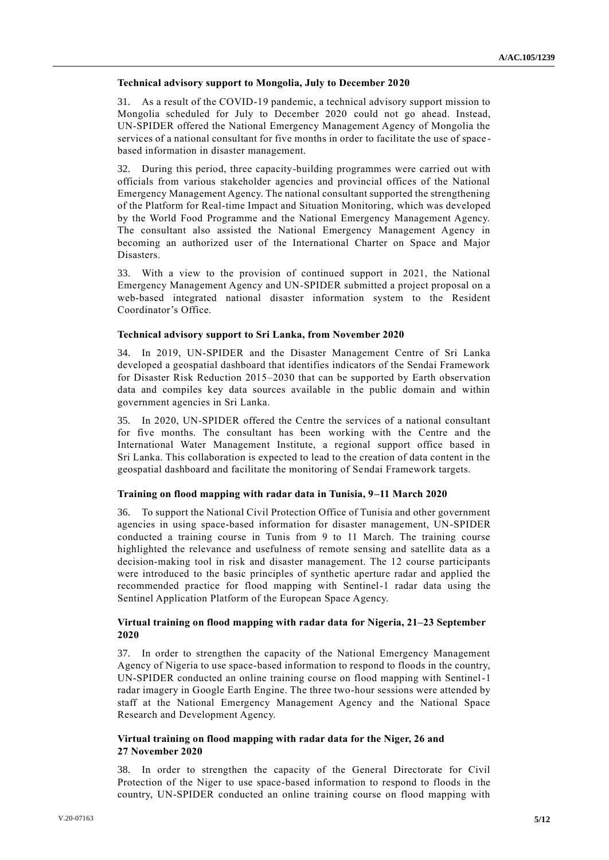#### **Technical advisory support to Mongolia, July to December 2020**

31. As a result of the COVID-19 pandemic, a technical advisory support mission to Mongolia scheduled for July to December 2020 could not go ahead. Instead, UN-SPIDER offered the National Emergency Management Agency of Mongolia the services of a national consultant for five months in order to facilitate the use of space based information in disaster management.

32. During this period, three capacity-building programmes were carried out with officials from various stakeholder agencies and provincial offices of the National Emergency Management Agency. The national consultant supported the strengthening of the Platform for Real-time Impact and Situation Monitoring, which was developed by the World Food Programme and the National Emergency Management Agency. The consultant also assisted the National Emergency Management Agency in becoming an authorized user of the International Charter on Space and Major Disasters.

33. With a view to the provision of continued support in 2021, the National Emergency Management Agency and UN-SPIDER submitted a project proposal on a web-based integrated national disaster information system to the Resident Coordinator's Office.

#### **Technical advisory support to Sri Lanka, from November 2020**

34. In 2019, UN-SPIDER and the Disaster Management Centre of Sri Lanka developed a geospatial dashboard that identifies indicators of the Sendai Framework for Disaster Risk Reduction 2015–2030 that can be supported by Earth observation data and compiles key data sources available in the public domain and within government agencies in Sri Lanka.

35. In 2020, UN-SPIDER offered the Centre the services of a national consultant for five months. The consultant has been working with the Centre and the International Water Management Institute, a regional support office based in Sri Lanka. This collaboration is expected to lead to the creation of data content in the geospatial dashboard and facilitate the monitoring of Sendai Framework targets.

### **Training on flood mapping with radar data in Tunisia, 9–11 March 2020**

36. To support the National Civil Protection Office of Tunisia and other government agencies in using space-based information for disaster management, UN-SPIDER conducted a training course in Tunis from 9 to 11 March. The training course highlighted the relevance and usefulness of remote sensing and satellite data as a decision-making tool in risk and disaster management. The 12 course participants were introduced to the basic principles of synthetic aperture radar and applied the recommended practice for flood mapping with Sentinel-1 radar data using the Sentinel Application Platform of the European Space Agency.

## **Virtual training on flood mapping with radar data for Nigeria, 21–23 September 2020**

37. In order to strengthen the capacity of the National Emergency Management Agency of Nigeria to use space-based information to respond to floods in the country, UN-SPIDER conducted an online training course on flood mapping with Sentinel-1 radar imagery in Google Earth Engine. The three two-hour sessions were attended by staff at the National Emergency Management Agency and the National Space Research and Development Agency.

#### **Virtual training on flood mapping with radar data for the Niger, 26 and 27 November 2020**

38. In order to strengthen the capacity of the General Directorate for Civil Protection of the Niger to use space-based information to respond to floods in the country, UN-SPIDER conducted an online training course on flood mapping with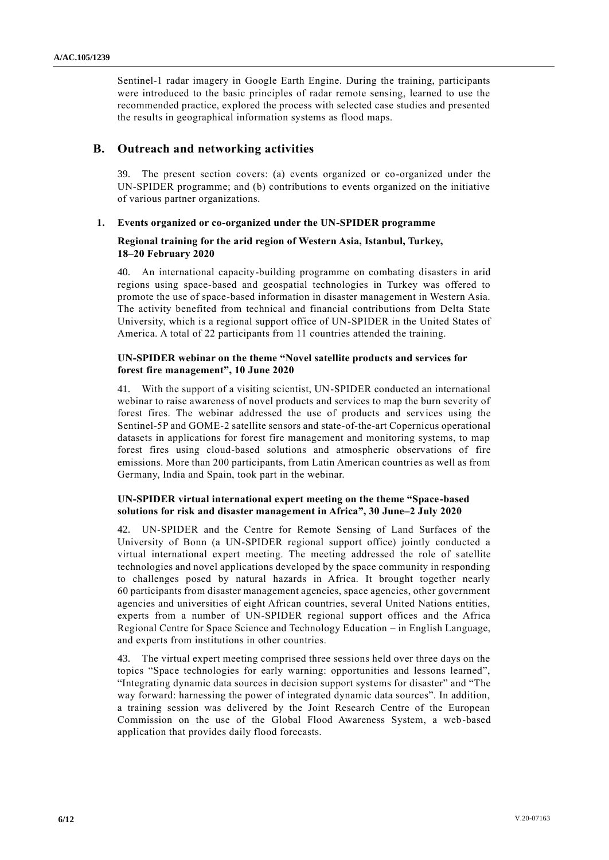Sentinel-1 radar imagery in Google Earth Engine. During the training, participants were introduced to the basic principles of radar remote sensing, learned to use the recommended practice, explored the process with selected case studies and presented the results in geographical information systems as flood maps.

## **B. Outreach and networking activities**

39. The present section covers: (a) events organized or co-organized under the UN-SPIDER programme; and (b) contributions to events organized on the initiative of various partner organizations.

### **1. Events organized or co-organized under the UN-SPIDER programme**

### **Regional training for the arid region of Western Asia, Istanbul, Turkey, 18–20 February 2020**

40. An international capacity-building programme on combating disasters in arid regions using space-based and geospatial technologies in Turkey was offered to promote the use of space-based information in disaster management in Western Asia. The activity benefited from technical and financial contributions from Delta State University, which is a regional support office of UN-SPIDER in the United States of America. A total of 22 participants from 11 countries attended the training.

#### **UN-SPIDER webinar on the theme "Novel satellite products and services for forest fire management", 10 June 2020**

41. With the support of a visiting scientist, UN-SPIDER conducted an international webinar to raise awareness of novel products and services to map the burn severity of forest fires. The webinar addressed the use of products and services using the Sentinel-5P and GOME-2 satellite sensors and state-of-the-art Copernicus operational datasets in applications for forest fire management and monitoring systems, to map forest fires using cloud-based solutions and atmospheric observations of fire emissions. More than 200 participants, from Latin American countries as well as from Germany, India and Spain, took part in the webinar.

## **UN-SPIDER virtual international expert meeting on the theme "Space-based solutions for risk and disaster management in Africa", 30 June–2 July 2020**

42. UN-SPIDER and the Centre for Remote Sensing of Land Surfaces of the University of Bonn (a UN-SPIDER regional support office) jointly conducted a virtual international expert meeting. The meeting addressed the role of satellite technologies and novel applications developed by the space community in responding to challenges posed by natural hazards in Africa. It brought together nearly 60 participants from disaster management agencies, space agencies, other government agencies and universities of eight African countries, several United Nations entities, experts from a number of UN-SPIDER regional support offices and the Africa Regional Centre for Space Science and Technology Education – in English Language, and experts from institutions in other countries.

43. The virtual expert meeting comprised three sessions held over three days on the topics "Space technologies for early warning: opportunities and lessons learned", "Integrating dynamic data sources in decision support systems for disaster" and "The way forward: harnessing the power of integrated dynamic data sources". In addition, a training session was delivered by the Joint Research Centre of the European Commission on the use of the Global Flood Awareness System, a web-based application that provides daily flood forecasts.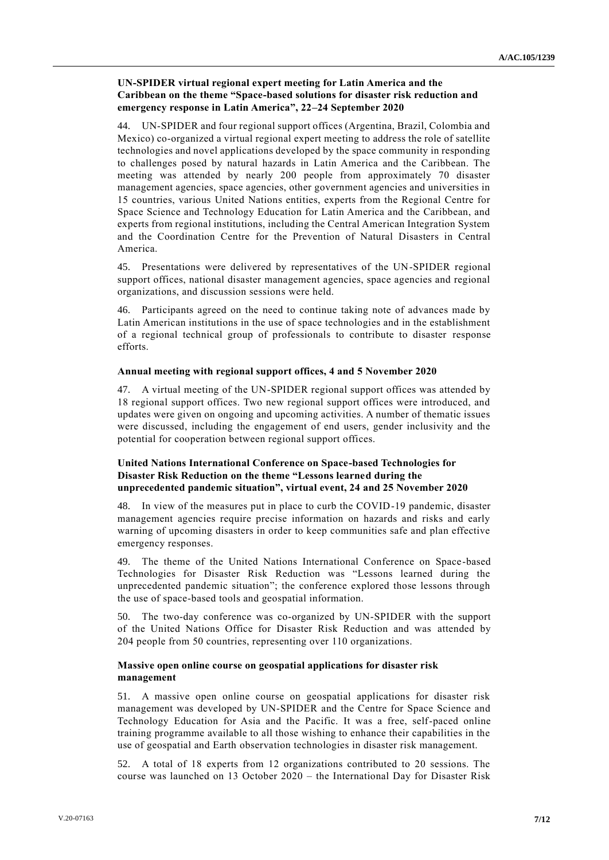## **UN-SPIDER virtual regional expert meeting for Latin America and the Caribbean on the theme "Space-based solutions for disaster risk reduction and emergency response in Latin America", 22–24 September 2020**

44. UN-SPIDER and four regional support offices (Argentina, Brazil, Colombia and Mexico) co-organized a virtual regional expert meeting to address the role of satellite technologies and novel applications developed by the space community in responding to challenges posed by natural hazards in Latin America and the Caribbean. The meeting was attended by nearly 200 people from approximately 70 disaster management agencies, space agencies, other government agencies and universities in 15 countries, various United Nations entities, experts from the Regional Centre for Space Science and Technology Education for Latin America and the Caribbean, and experts from regional institutions, including the Central American Integration System and the Coordination Centre for the Prevention of Natural Disasters in Central America.

45. Presentations were delivered by representatives of the UN-SPIDER regional support offices, national disaster management agencies, space agencies and regional organizations, and discussion sessions were held.

46. Participants agreed on the need to continue taking note of advances made by Latin American institutions in the use of space technologies and in the establishment of a regional technical group of professionals to contribute to disaster response efforts.

### **Annual meeting with regional support offices, 4 and 5 November 2020**

47. A virtual meeting of the UN-SPIDER regional support offices was attended by 18 regional support offices. Two new regional support offices were introduced, and updates were given on ongoing and upcoming activities. A number of thematic issues were discussed, including the engagement of end users, gender inclusivity and the potential for cooperation between regional support offices.

## **United Nations International Conference on Space-based Technologies for Disaster Risk Reduction on the theme "Lessons learned during the unprecedented pandemic situation", virtual event, 24 and 25 November 2020**

48. In view of the measures put in place to curb the COVID-19 pandemic, disaster management agencies require precise information on hazards and risks and early warning of upcoming disasters in order to keep communities safe and plan effective emergency responses.

49. The theme of the United Nations International Conference on Space-based Technologies for Disaster Risk Reduction was "Lessons learned during the unprecedented pandemic situation"; the conference explored those lessons through the use of space-based tools and geospatial information.

50. The two-day conference was co-organized by UN-SPIDER with the support of the United Nations Office for Disaster Risk Reduction and was attended by 204 people from 50 countries, representing over 110 organizations.

## **Massive open online course on geospatial applications for disaster risk management**

51. A massive open online course on geospatial applications for disaster risk management was developed by UN-SPIDER and the Centre for Space Science and Technology Education for Asia and the Pacific. It was a free, self-paced online training programme available to all those wishing to enhance their capabilities in the use of geospatial and Earth observation technologies in disaster risk management.

52. A total of 18 experts from 12 organizations contributed to 20 sessions. The course was launched on 13 October 2020 – the International Day for Disaster Risk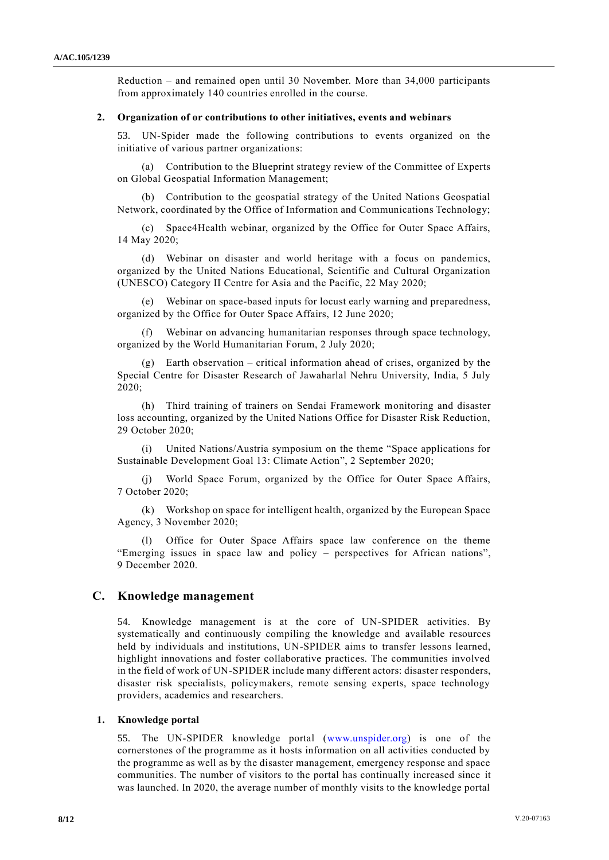Reduction – and remained open until 30 November. More than 34,000 participants from approximately 140 countries enrolled in the course.

#### **2. Organization of or contributions to other initiatives, events and webinars**

53. UN-Spider made the following contributions to events organized on the initiative of various partner organizations:

(a) Contribution to the Blueprint strategy review of the Committee of Experts on Global Geospatial Information Management;

(b) Contribution to the geospatial strategy of the United Nations Geospatial Network, coordinated by the Office of Information and Communications Technology;

(c) Space4Health webinar, organized by the Office for Outer Space Affairs, 14 May 2020;

(d) Webinar on disaster and world heritage with a focus on pandemics, organized by the United Nations Educational, Scientific and Cultural Organization (UNESCO) Category II Centre for Asia and the Pacific, 22 May 2020;

(e) Webinar on space-based inputs for locust early warning and preparedness, organized by the Office for Outer Space Affairs, 12 June 2020;

(f) Webinar on advancing humanitarian responses through space technology, organized by the World Humanitarian Forum, 2 July 2020;

(g) Earth observation – critical information ahead of crises, organized by the Special Centre for Disaster Research of Jawaharlal Nehru University, India, 5 July 2020;

(h) Third training of trainers on Sendai Framework monitoring and disaster loss accounting, organized by the United Nations Office for Disaster Risk Reduction, 29 October 2020;

(i) United Nations/Austria symposium on the theme "Space applications for Sustainable Development Goal 13: Climate Action", 2 September 2020;

(j) World Space Forum, organized by the Office for Outer Space Affairs, 7 October 2020;

(k) Workshop on space for intelligent health, organized by the European Space Agency, 3 November 2020;

(l) Office for Outer Space Affairs space law conference on the theme "Emerging issues in space law and policy – perspectives for African nations", 9 December 2020.

# **C. Knowledge management**

54. Knowledge management is at the core of UN-SPIDER activities. By systematically and continuously compiling the knowledge and available resources held by individuals and institutions, UN-SPIDER aims to transfer lessons learned, highlight innovations and foster collaborative practices. The communities involved in the field of work of UN-SPIDER include many different actors: disaster responders, disaster risk specialists, policymakers, remote sensing experts, space technology providers, academics and researchers.

#### **1. Knowledge portal**

55. The UN-SPIDER knowledge portal [\(www.unspider.org\)](http://www.unspider.org/) is one of the cornerstones of the programme as it hosts information on all activities conducted by the programme as well as by the disaster management, emergency response and space communities. The number of visitors to the portal has continually increased since it was launched. In 2020, the average number of monthly visits to the knowledge portal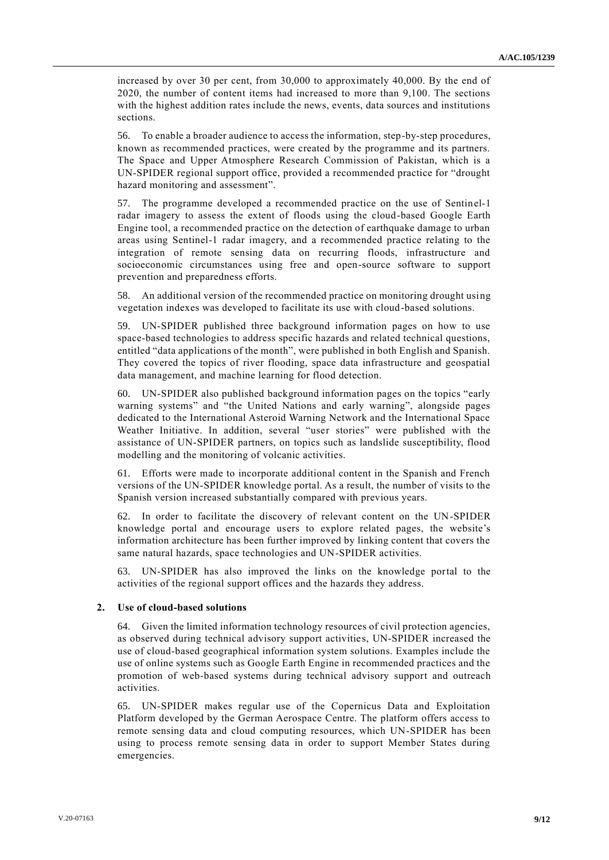increased by over 30 per cent, from 30,000 to approximately 40,000. By the end of 2020, the number of content items had increased to more than 9,100. The sections with the highest addition rates include the news, events, data sources and institutions sections.

56. To enable a broader audience to access the information, step-by-step procedures, known as recommended practices, were created by the programme and its partners. The Space and Upper Atmosphere Research Commission of Pakistan, which is a UN-SPIDER regional support office, provided a recommended practice for "drought hazard monitoring and assessment".

57. The programme developed a recommended practice on the use of Sentinel-1 radar imagery to assess the extent of floods using the cloud-based Google Earth Engine tool, a recommended practice on the detection of earthquake damage to urban areas using Sentinel-1 radar imagery, and a recommended practice relating to the integration of remote sensing data on recurring floods, infrastructure and socioeconomic circumstances using free and open-source software to support prevention and preparedness efforts.

58. An additional version of the recommended practice on monitoring drought using vegetation indexes was developed to facilitate its use with cloud-based solutions.

59. UN-SPIDER published three background information pages on how to use space-based technologies to address specific hazards and related technical questions, entitled "data applications of the month", were published in both English and Spanish. They covered the topics of river flooding, space data infrastructure and geospatial data management, and machine learning for flood detection.

60. UN-SPIDER also published background information pages on the topics "early warning systems" and "the United Nations and early warning", alongside pages dedicated to the International Asteroid Warning Network and the International Space Weather Initiative. In addition, several "user stories" were published with the assistance of UN-SPIDER partners, on topics such as landslide susceptibility, flood modelling and the monitoring of volcanic activities.

61. Efforts were made to incorporate additional content in the Spanish and French versions of the UN-SPIDER knowledge portal. As a result, the number of visits to the Spanish version increased substantially compared with previous years.

62. In order to facilitate the discovery of relevant content on the UN-SPIDER knowledge portal and encourage users to explore related pages, the website's information architecture has been further improved by linking content that covers the same natural hazards, space technologies and UN-SPIDER activities.

63. UN-SPIDER has also improved the links on the knowledge portal to the activities of the regional support offices and the hazards they address.

#### **2. Use of cloud-based solutions**

64. Given the limited information technology resources of civil protection agencies, as observed during technical advisory support activities, UN-SPIDER increased the use of cloud-based geographical information system solutions. Examples include the use of online systems such as Google Earth Engine in recommended practices and the promotion of web-based systems during technical advisory support and outreach activities.

65. UN-SPIDER makes regular use of the Copernicus Data and Exploitation Platform developed by the German Aerospace Centre. The platform offers access to remote sensing data and cloud computing resources, which UN-SPIDER has been using to process remote sensing data in order to support Member States during emergencies.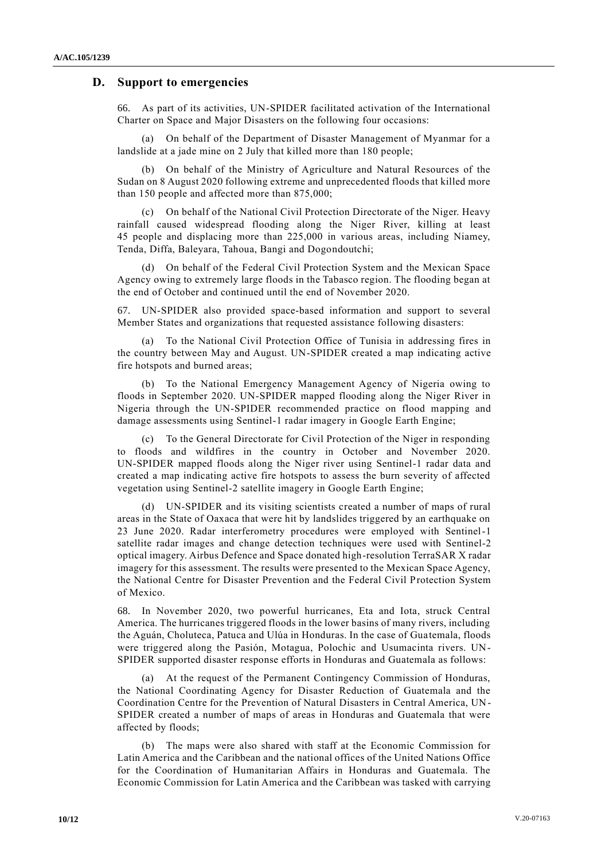#### **D. Support to emergencies**

66. As part of its activities, UN-SPIDER facilitated activation of the International Charter on Space and Major Disasters on the following four occasions:

(a) On behalf of the Department of Disaster Management of Myanmar for a landslide at a jade mine on 2 July that killed more than 180 people;

(b) On behalf of the Ministry of Agriculture and Natural Resources of the Sudan on 8 August 2020 following extreme and unprecedented floods that killed more than 150 people and affected more than 875,000;

(c) On behalf of the National Civil Protection Directorate of the Niger. Heavy rainfall caused widespread flooding along the Niger River, killing at least 45 people and displacing more than 225,000 in various areas, including Niamey, Tenda, Diffa, Baleyara, Tahoua, Bangi and Dogondoutchi;

(d) On behalf of the Federal Civil Protection System and the Mexican Space Agency owing to extremely large floods in the Tabasco region. The flooding began at the end of October and continued until the end of November 2020.

67. UN-SPIDER also provided space-based information and support to several Member States and organizations that requested assistance following disasters:

(a) To the National Civil Protection Office of Tunisia in addressing fires in the country between May and August. UN-SPIDER created a map indicating active fire hotspots and burned areas;

(b) To the National Emergency Management Agency of Nigeria owing to floods in September 2020. UN-SPIDER mapped flooding along the Niger River in Nigeria through the UN-SPIDER recommended practice on flood mapping and damage assessments using Sentinel-1 radar imagery in Google Earth Engine;

(c) To the General Directorate for Civil Protection of the Niger in responding to floods and wildfires in the country in October and November 2020. UN-SPIDER mapped floods along the Niger river using Sentinel-1 radar data and created a map indicating active fire hotspots to assess the burn severity of affected vegetation using Sentinel-2 satellite imagery in Google Earth Engine;

(d) UN-SPIDER and its visiting scientists created a number of maps of rural areas in the State of Oaxaca that were hit by landslides triggered by an earthquake on 23 June 2020. Radar interferometry procedures were employed with Sentinel-1 satellite radar images and change detection techniques were used with Sentinel-2 optical imagery. Airbus Defence and Space donated high-resolution TerraSAR X radar imagery for this assessment. The results were presented to the Mexican Space Agency, the National Centre for Disaster Prevention and the Federal Civil Protection System of Mexico.

68. In November 2020, two powerful hurricanes, Eta and Iota, struck Central America. The hurricanes triggered floods in the lower basins of many rivers, including the Aguán, Choluteca, Patuca and Ulúa in Honduras. In the case of Guatemala, floods were triggered along the Pasión, Motagua, Polochic and Usumacinta rivers. UN-SPIDER supported disaster response efforts in Honduras and Guatemala as follows:

(a) At the request of the Permanent Contingency Commission of Honduras, the National Coordinating Agency for Disaster Reduction of Guatemala and the Coordination Centre for the Prevention of Natural Disasters in Central America, UN-SPIDER created a number of maps of areas in Honduras and Guatemala that were affected by floods;

(b) The maps were also shared with staff at the Economic Commission for Latin America and the Caribbean and the national offices of the United Nations Office for the Coordination of Humanitarian Affairs in Honduras and Guatemala. The Economic Commission for Latin America and the Caribbean was tasked with carrying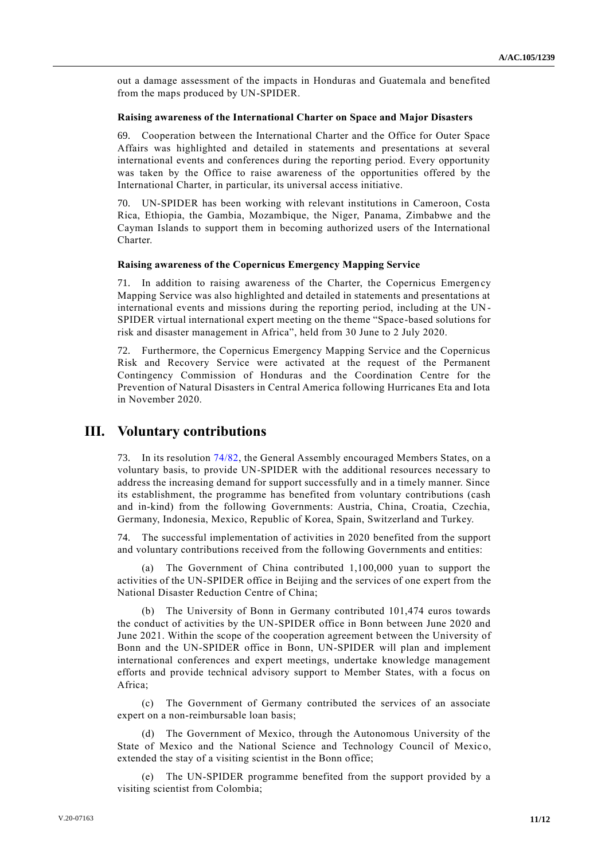out a damage assessment of the impacts in Honduras and Guatemala and benefited from the maps produced by UN-SPIDER.

#### **Raising awareness of the International Charter on Space and Major Disasters**

69. Cooperation between the International Charter and the Office for Outer Space Affairs was highlighted and detailed in statements and presentations at several international events and conferences during the reporting period. Every opportunity was taken by the Office to raise awareness of the opportunities offered by the International Charter, in particular, its universal access initiative.

70. UN-SPIDER has been working with relevant institutions in Cameroon, Costa Rica, Ethiopia, the Gambia, Mozambique, the Niger, Panama, Zimbabwe and the Cayman Islands to support them in becoming authorized users of the International Charter.

#### **Raising awareness of the Copernicus Emergency Mapping Service**

71. In addition to raising awareness of the Charter, the Copernicus Emergency Mapping Service was also highlighted and detailed in statements and presentations at international events and missions during the reporting period, including at the UN - SPIDER virtual international expert meeting on the theme "Space-based solutions for risk and disaster management in Africa", held from 30 June to 2 July 2020.

72. Furthermore, the Copernicus Emergency Mapping Service and the Copernicus Risk and Recovery Service were activated at the request of the Permanent Contingency Commission of Honduras and the Coordination Centre for the Prevention of Natural Disasters in Central America following Hurricanes Eta and Iota in November 2020.

# **III. Voluntary contributions**

73. In its resolution [74/82,](http://undocs.org/A/RES/74/82) the General Assembly encouraged Members States, on a voluntary basis, to provide UN-SPIDER with the additional resources necessary to address the increasing demand for support successfully and in a timely manner. Since its establishment, the programme has benefited from voluntary contributions (cash and in-kind) from the following Governments: Austria, China, Croatia, Czechia, Germany, Indonesia, Mexico, Republic of Korea, Spain, Switzerland and Turkey.

74. The successful implementation of activities in 2020 benefited from the support and voluntary contributions received from the following Governments and entities:

(a) The Government of China contributed 1,100,000 yuan to support the activities of the UN-SPIDER office in Beijing and the services of one expert from the National Disaster Reduction Centre of China;

(b) The University of Bonn in Germany contributed 101,474 euros towards the conduct of activities by the UN-SPIDER office in Bonn between June 2020 and June 2021. Within the scope of the cooperation agreement between the University of Bonn and the UN-SPIDER office in Bonn, UN-SPIDER will plan and implement international conferences and expert meetings, undertake knowledge management efforts and provide technical advisory support to Member States, with a focus on Africa;

(c) The Government of Germany contributed the services of an associate expert on a non-reimbursable loan basis;

(d) The Government of Mexico, through the Autonomous University of the State of Mexico and the National Science and Technology Council of Mexico, extended the stay of a visiting scientist in the Bonn office;

(e) The UN-SPIDER programme benefited from the support provided by a visiting scientist from Colombia;